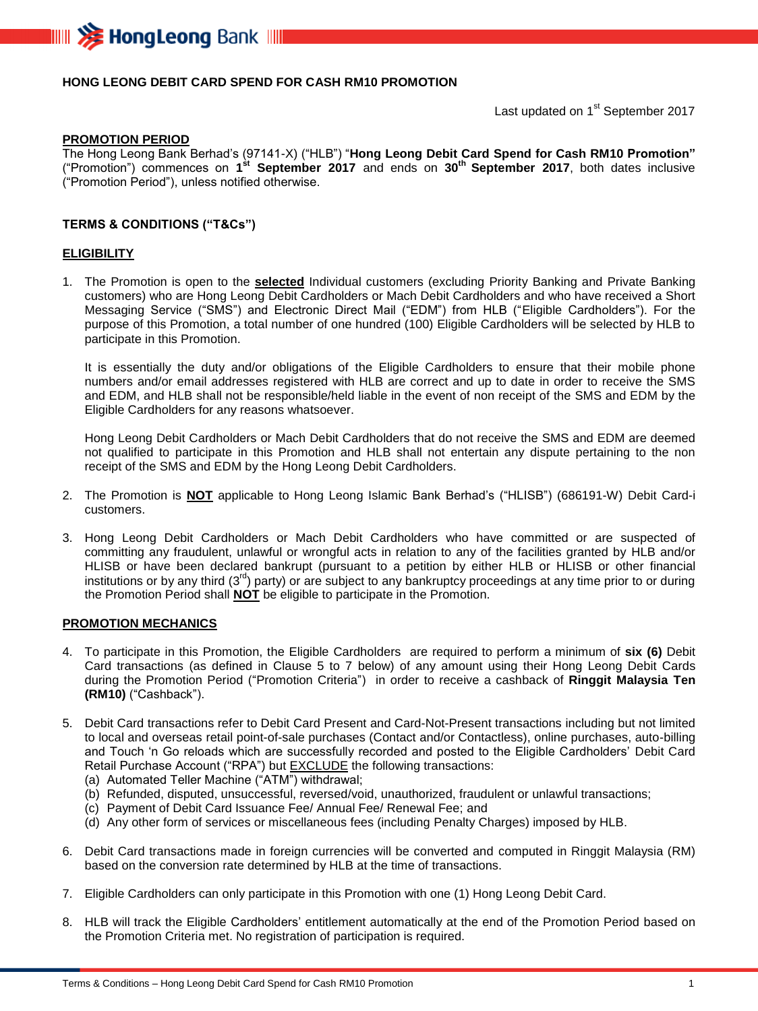

## **HONG LEONG DEBIT CARD SPEND FOR CASH RM10 PROMOTION**

Last updated on 1<sup>st</sup> September 2017

#### **PROMOTION PERIOD**

The Hong Leong Bank Berhad's (97141-X) ("HLB") "**Hong Leong Debit Card Spend for Cash RM10 Promotion"** ("Promotion") commences on **1 st September 2017** and ends on **30 th September 2017**, both dates inclusive ("Promotion Period"), unless notified otherwise.

### **TERMS & CONDITIONS ("T&Cs")**

#### **ELIGIBILITY**

1. The Promotion is open to the **selected** Individual customers (excluding Priority Banking and Private Banking customers) who are Hong Leong Debit Cardholders or Mach Debit Cardholders and who have received a Short Messaging Service ("SMS") and Electronic Direct Mail ("EDM") from HLB ("Eligible Cardholders"). For the purpose of this Promotion, a total number of one hundred (100) Eligible Cardholders will be selected by HLB to participate in this Promotion.

It is essentially the duty and/or obligations of the Eligible Cardholders to ensure that their mobile phone numbers and/or email addresses registered with HLB are correct and up to date in order to receive the SMS and EDM, and HLB shall not be responsible/held liable in the event of non receipt of the SMS and EDM by the Eligible Cardholders for any reasons whatsoever.

Hong Leong Debit Cardholders or Mach Debit Cardholders that do not receive the SMS and EDM are deemed not qualified to participate in this Promotion and HLB shall not entertain any dispute pertaining to the non receipt of the SMS and EDM by the Hong Leong Debit Cardholders.

- 2. The Promotion is **NOT** applicable to Hong Leong Islamic Bank Berhad's ("HLISB") (686191-W) Debit Card-i customers.
- 3. Hong Leong Debit Cardholders or Mach Debit Cardholders who have committed or are suspected of committing any fraudulent, unlawful or wrongful acts in relation to any of the facilities granted by HLB and/or HLISB or have been declared bankrupt (pursuant to a petition by either HLB or HLISB or other financial institutions or by any third (3<sup>rd</sup>) party) or are subject to any bankruptcy proceedings at any time prior to or during the Promotion Period shall **NOT** be eligible to participate in the Promotion.

#### **PROMOTION MECHANICS**

- 4. To participate in this Promotion, the Eligible Cardholders are required to perform a minimum of **six (6)** Debit Card transactions (as defined in Clause 5 to 7 below) of any amount using their Hong Leong Debit Cards during the Promotion Period ("Promotion Criteria") in order to receive a cashback of **Ringgit Malaysia Ten (RM10)** ("Cashback").
- 5. Debit Card transactions refer to Debit Card Present and Card-Not-Present transactions including but not limited to local and overseas retail point-of-sale purchases (Contact and/or Contactless), online purchases, auto-billing and Touch 'n Go reloads which are successfully recorded and posted to the Eligible Cardholders' Debit Card Retail Purchase Account ("RPA") but **EXCLUDE** the following transactions:
	- (a) Automated Teller Machine ("ATM") withdrawal;
	- (b) Refunded, disputed, unsuccessful, reversed/void, unauthorized, fraudulent or unlawful transactions;
	- (c) Payment of Debit Card Issuance Fee/ Annual Fee/ Renewal Fee; and
	- (d) Any other form of services or miscellaneous fees (including Penalty Charges) imposed by HLB.
- 6. Debit Card transactions made in foreign currencies will be converted and computed in Ringgit Malaysia (RM) based on the conversion rate determined by HLB at the time of transactions.
- 7. Eligible Cardholders can only participate in this Promotion with one (1) Hong Leong Debit Card.
- 8. HLB will track the Eligible Cardholders' entitlement automatically at the end of the Promotion Period based on the Promotion Criteria met. No registration of participation is required.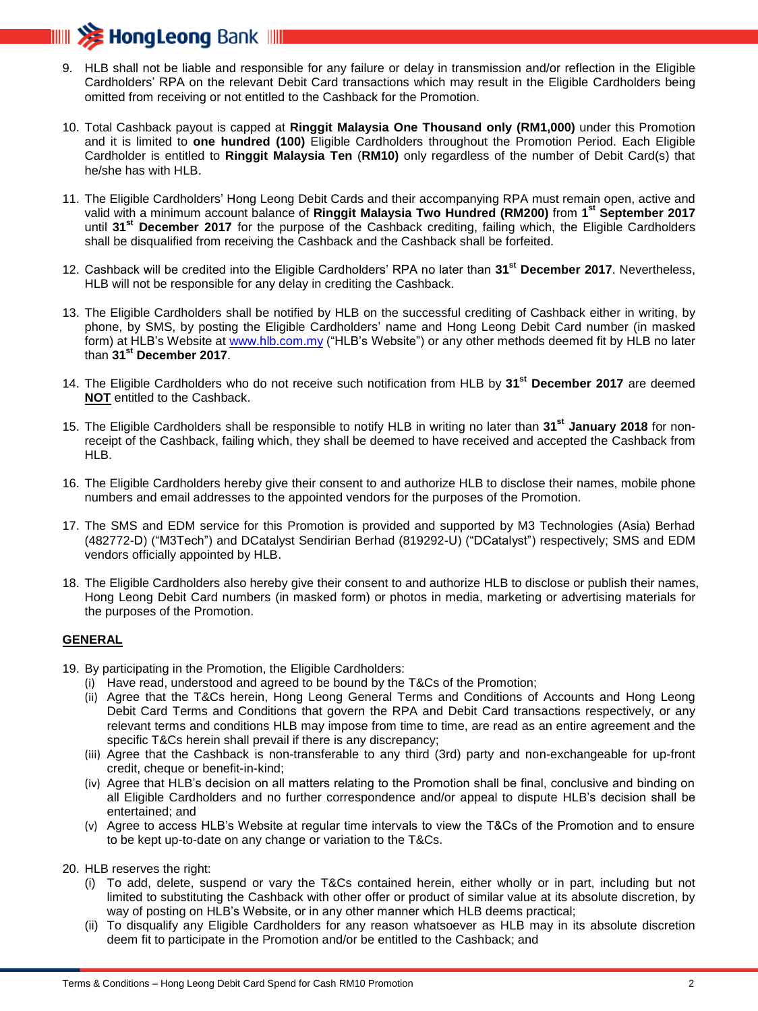

- 9. HLB shall not be liable and responsible for any failure or delay in transmission and/or reflection in the Eligible Cardholders' RPA on the relevant Debit Card transactions which may result in the Eligible Cardholders being omitted from receiving or not entitled to the Cashback for the Promotion.
- 10. Total Cashback payout is capped at **Ringgit Malaysia One Thousand only (RM1,000)** under this Promotion and it is limited to **one hundred (100)** Eligible Cardholders throughout the Promotion Period. Each Eligible Cardholder is entitled to **Ringgit Malaysia Ten** (**RM10)** only regardless of the number of Debit Card(s) that he/she has with HLB.
- 11. The Eligible Cardholders' Hong Leong Debit Cards and their accompanying RPA must remain open, active and valid with a minimum account balance of **Ringgit Malaysia Two Hundred (RM200)** from **1 st September 2017** until **31st December 2017** for the purpose of the Cashback crediting, failing which, the Eligible Cardholders shall be disqualified from receiving the Cashback and the Cashback shall be forfeited.
- 12. Cashback will be credited into the Eligible Cardholders' RPA no later than **31st December 2017**. Nevertheless, HLB will not be responsible for any delay in crediting the Cashback.
- 13. The Eligible Cardholders shall be notified by HLB on the successful crediting of Cashback either in writing, by phone, by SMS, by posting the Eligible Cardholders' name and Hong Leong Debit Card number (in masked form) at HLB's Website at [www.hlb.com.my](http://www.hlb.com.my/) ("HLB's Website") or any other methods deemed fit by HLB no later than **31st December 2017**.
- 14. The Eligible Cardholders who do not receive such notification from HLB by **31st December 2017** are deemed **NOT** entitled to the Cashback.
- 15. The Eligible Cardholders shall be responsible to notify HLB in writing no later than **31st January 2018** for nonreceipt of the Cashback, failing which, they shall be deemed to have received and accepted the Cashback from HLB.
- 16. The Eligible Cardholders hereby give their consent to and authorize HLB to disclose their names, mobile phone numbers and email addresses to the appointed vendors for the purposes of the Promotion.
- 17. The SMS and EDM service for this Promotion is provided and supported by M3 Technologies (Asia) Berhad (482772-D) ("M3Tech") and DCatalyst Sendirian Berhad (819292-U) ("DCatalyst") respectively; SMS and EDM vendors officially appointed by HLB.
- 18. The Eligible Cardholders also hereby give their consent to and authorize HLB to disclose or publish their names, Hong Leong Debit Card numbers (in masked form) or photos in media, marketing or advertising materials for the purposes of the Promotion.

## **GENERAL**

- 19. By participating in the Promotion, the Eligible Cardholders:
	- (i) Have read, understood and agreed to be bound by the T&Cs of the Promotion;
	- (ii) Agree that the T&Cs herein, Hong Leong General Terms and Conditions of Accounts and Hong Leong Debit Card Terms and Conditions that govern the RPA and Debit Card transactions respectively, or any relevant terms and conditions HLB may impose from time to time, are read as an entire agreement and the specific T&Cs herein shall prevail if there is any discrepancy;
	- (iii) Agree that the Cashback is non-transferable to any third (3rd) party and non-exchangeable for up-front credit, cheque or benefit-in-kind;
	- (iv) Agree that HLB's decision on all matters relating to the Promotion shall be final, conclusive and binding on all Eligible Cardholders and no further correspondence and/or appeal to dispute HLB's decision shall be entertained; and
	- (v) Agree to access HLB's Website at regular time intervals to view the T&Cs of the Promotion and to ensure to be kept up-to-date on any change or variation to the T&Cs.

20. HLB reserves the right:

- (i) To add, delete, suspend or vary the T&Cs contained herein, either wholly or in part, including but not limited to substituting the Cashback with other offer or product of similar value at its absolute discretion, by way of posting on HLB's Website, or in any other manner which HLB deems practical;
- (ii) To disqualify any Eligible Cardholders for any reason whatsoever as HLB may in its absolute discretion deem fit to participate in the Promotion and/or be entitled to the Cashback; and